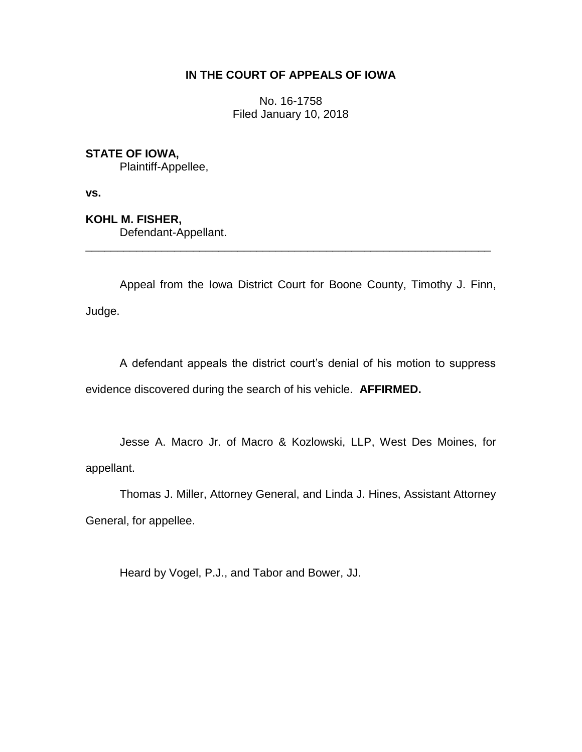# **IN THE COURT OF APPEALS OF IOWA**

No. 16-1758 Filed January 10, 2018

# **STATE OF IOWA,**

Plaintiff-Appellee,

**vs.**

# **KOHL M. FISHER,**

Defendant-Appellant.

Appeal from the Iowa District Court for Boone County, Timothy J. Finn, Judge.

\_\_\_\_\_\_\_\_\_\_\_\_\_\_\_\_\_\_\_\_\_\_\_\_\_\_\_\_\_\_\_\_\_\_\_\_\_\_\_\_\_\_\_\_\_\_\_\_\_\_\_\_\_\_\_\_\_\_\_\_\_\_\_\_

A defendant appeals the district court's denial of his motion to suppress evidence discovered during the search of his vehicle. **AFFIRMED.**

Jesse A. Macro Jr. of Macro & Kozlowski, LLP, West Des Moines, for appellant.

Thomas J. Miller, Attorney General, and Linda J. Hines, Assistant Attorney General, for appellee.

Heard by Vogel, P.J., and Tabor and Bower, JJ.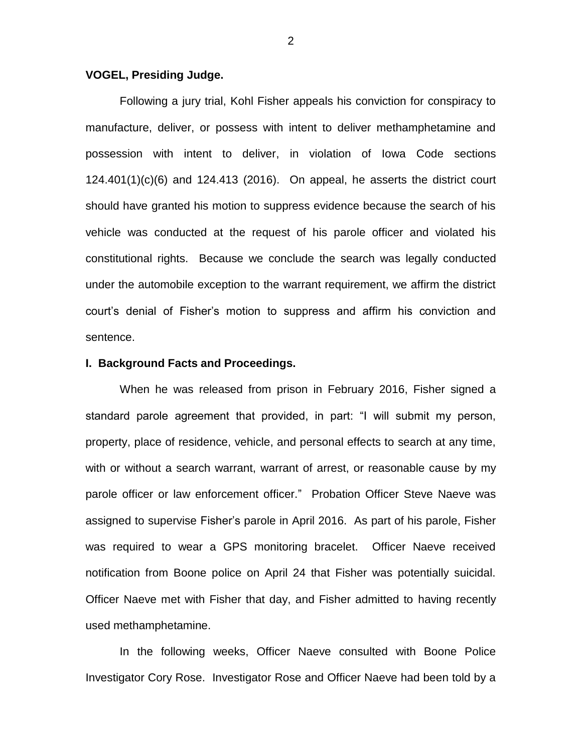## **VOGEL, Presiding Judge.**

Following a jury trial, Kohl Fisher appeals his conviction for conspiracy to manufacture, deliver, or possess with intent to deliver methamphetamine and possession with intent to deliver, in violation of Iowa Code sections 124.401(1)(c)(6) and 124.413 (2016). On appeal, he asserts the district court should have granted his motion to suppress evidence because the search of his vehicle was conducted at the request of his parole officer and violated his constitutional rights. Because we conclude the search was legally conducted under the automobile exception to the warrant requirement, we affirm the district court's denial of Fisher's motion to suppress and affirm his conviction and sentence.

#### **I. Background Facts and Proceedings.**

When he was released from prison in February 2016, Fisher signed a standard parole agreement that provided, in part: "I will submit my person, property, place of residence, vehicle, and personal effects to search at any time, with or without a search warrant, warrant of arrest, or reasonable cause by my parole officer or law enforcement officer." Probation Officer Steve Naeve was assigned to supervise Fisher's parole in April 2016. As part of his parole, Fisher was required to wear a GPS monitoring bracelet. Officer Naeve received notification from Boone police on April 24 that Fisher was potentially suicidal. Officer Naeve met with Fisher that day, and Fisher admitted to having recently used methamphetamine.

In the following weeks, Officer Naeve consulted with Boone Police Investigator Cory Rose. Investigator Rose and Officer Naeve had been told by a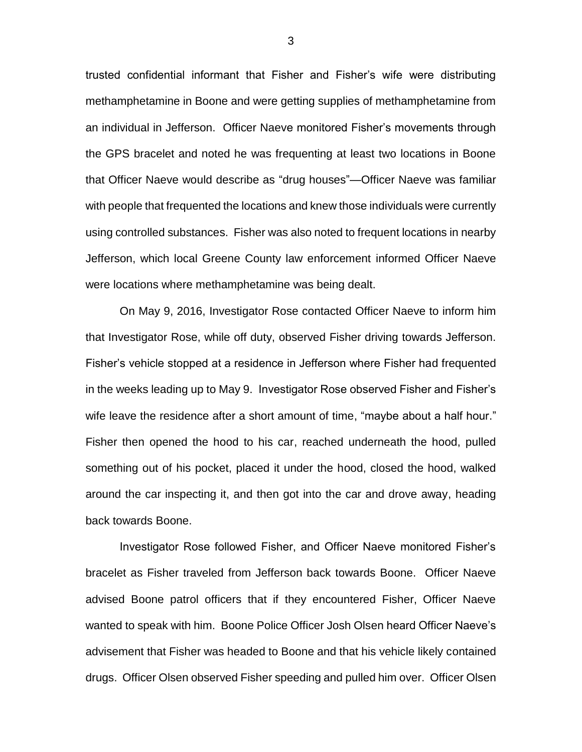trusted confidential informant that Fisher and Fisher's wife were distributing methamphetamine in Boone and were getting supplies of methamphetamine from an individual in Jefferson. Officer Naeve monitored Fisher's movements through the GPS bracelet and noted he was frequenting at least two locations in Boone that Officer Naeve would describe as "drug houses"—Officer Naeve was familiar with people that frequented the locations and knew those individuals were currently using controlled substances. Fisher was also noted to frequent locations in nearby Jefferson, which local Greene County law enforcement informed Officer Naeve were locations where methamphetamine was being dealt.

On May 9, 2016, Investigator Rose contacted Officer Naeve to inform him that Investigator Rose, while off duty, observed Fisher driving towards Jefferson. Fisher's vehicle stopped at a residence in Jefferson where Fisher had frequented in the weeks leading up to May 9. Investigator Rose observed Fisher and Fisher's wife leave the residence after a short amount of time, "maybe about a half hour." Fisher then opened the hood to his car, reached underneath the hood, pulled something out of his pocket, placed it under the hood, closed the hood, walked around the car inspecting it, and then got into the car and drove away, heading back towards Boone.

Investigator Rose followed Fisher, and Officer Naeve monitored Fisher's bracelet as Fisher traveled from Jefferson back towards Boone. Officer Naeve advised Boone patrol officers that if they encountered Fisher, Officer Naeve wanted to speak with him. Boone Police Officer Josh Olsen heard Officer Naeve's advisement that Fisher was headed to Boone and that his vehicle likely contained drugs. Officer Olsen observed Fisher speeding and pulled him over. Officer Olsen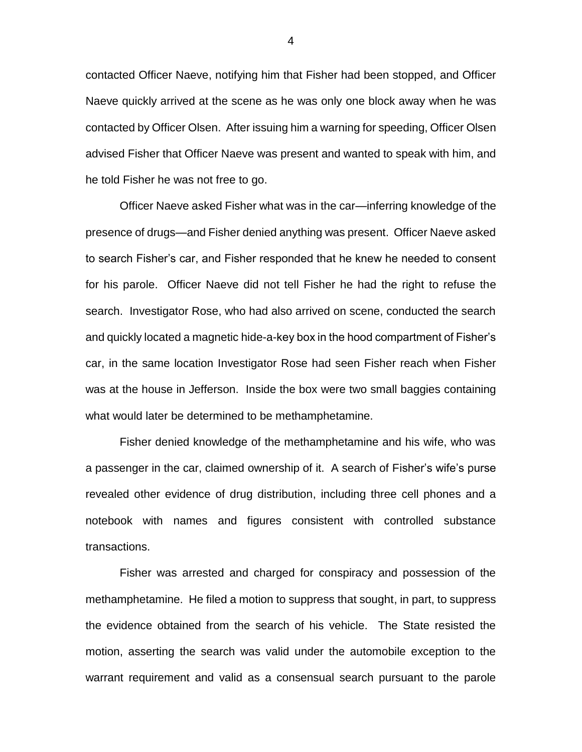contacted Officer Naeve, notifying him that Fisher had been stopped, and Officer Naeve quickly arrived at the scene as he was only one block away when he was contacted by Officer Olsen. After issuing him a warning for speeding, Officer Olsen advised Fisher that Officer Naeve was present and wanted to speak with him, and he told Fisher he was not free to go.

Officer Naeve asked Fisher what was in the car—inferring knowledge of the presence of drugs—and Fisher denied anything was present. Officer Naeve asked to search Fisher's car, and Fisher responded that he knew he needed to consent for his parole. Officer Naeve did not tell Fisher he had the right to refuse the search. Investigator Rose, who had also arrived on scene, conducted the search and quickly located a magnetic hide-a-key box in the hood compartment of Fisher's car, in the same location Investigator Rose had seen Fisher reach when Fisher was at the house in Jefferson. Inside the box were two small baggies containing what would later be determined to be methamphetamine.

Fisher denied knowledge of the methamphetamine and his wife, who was a passenger in the car, claimed ownership of it. A search of Fisher's wife's purse revealed other evidence of drug distribution, including three cell phones and a notebook with names and figures consistent with controlled substance transactions.

Fisher was arrested and charged for conspiracy and possession of the methamphetamine. He filed a motion to suppress that sought, in part, to suppress the evidence obtained from the search of his vehicle. The State resisted the motion, asserting the search was valid under the automobile exception to the warrant requirement and valid as a consensual search pursuant to the parole

4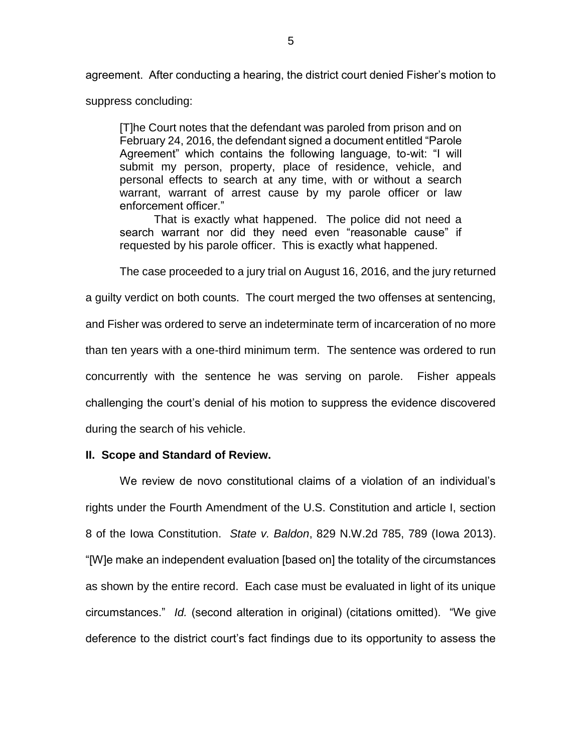agreement. After conducting a hearing, the district court denied Fisher's motion to

suppress concluding:

[T]he Court notes that the defendant was paroled from prison and on February 24, 2016, the defendant signed a document entitled "Parole Agreement" which contains the following language, to-wit: "I will submit my person, property, place of residence, vehicle, and personal effects to search at any time, with or without a search warrant, warrant of arrest cause by my parole officer or law enforcement officer."

That is exactly what happened. The police did not need a search warrant nor did they need even "reasonable cause" if requested by his parole officer. This is exactly what happened.

The case proceeded to a jury trial on August 16, 2016, and the jury returned

a guilty verdict on both counts. The court merged the two offenses at sentencing, and Fisher was ordered to serve an indeterminate term of incarceration of no more than ten years with a one-third minimum term. The sentence was ordered to run concurrently with the sentence he was serving on parole. Fisher appeals challenging the court's denial of his motion to suppress the evidence discovered during the search of his vehicle.

## **II. Scope and Standard of Review.**

We review de novo constitutional claims of a violation of an individual's rights under the Fourth Amendment of the U.S. Constitution and article I, section 8 of the Iowa Constitution. *State v. Baldon*, 829 N.W.2d 785, 789 (Iowa 2013). "[W]e make an independent evaluation [based on] the totality of the circumstances as shown by the entire record. Each case must be evaluated in light of its unique circumstances." *Id.* (second alteration in original) (citations omitted). "We give deference to the district court's fact findings due to its opportunity to assess the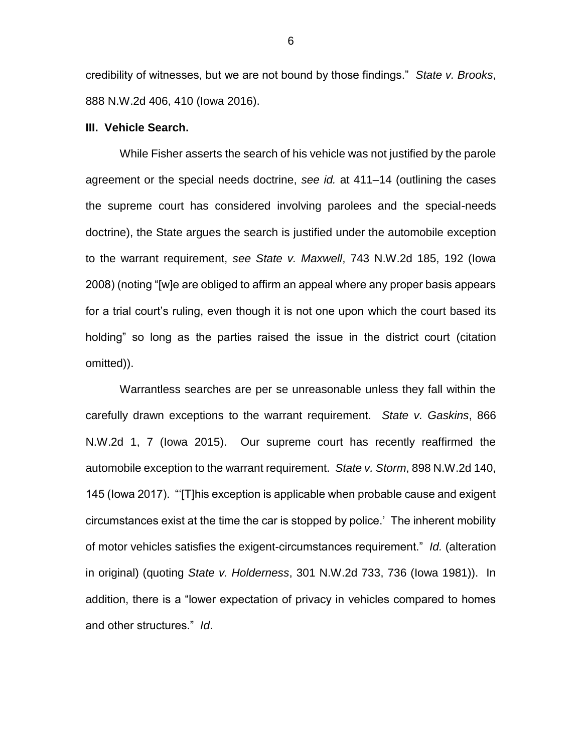credibility of witnesses, but we are not bound by those findings." *State v. Brooks*, 888 N.W.2d 406, 410 (Iowa 2016).

#### **III. Vehicle Search.**

While Fisher asserts the search of his vehicle was not justified by the parole agreement or the special needs doctrine, *see id.* at 411–14 (outlining the cases the supreme court has considered involving parolees and the special-needs doctrine), the State argues the search is justified under the automobile exception to the warrant requirement, *see State v. Maxwell*, 743 N.W.2d 185, 192 (Iowa 2008) (noting "[w]e are obliged to affirm an appeal where any proper basis appears for a trial court's ruling, even though it is not one upon which the court based its holding" so long as the parties raised the issue in the district court (citation omitted)).

Warrantless searches are per se unreasonable unless they fall within the carefully drawn exceptions to the warrant requirement. *State v. Gaskins*, 866 N.W.2d 1, 7 (Iowa 2015). Our supreme court has recently reaffirmed the automobile exception to the warrant requirement. *State v. Storm*, 898 N.W.2d 140, 145 (Iowa 2017). "'[T]his exception is applicable when probable cause and exigent circumstances exist at the time the car is stopped by police.' The inherent mobility of motor vehicles satisfies the exigent-circumstances requirement." *Id.* (alteration in original) (quoting *State v. Holderness*, 301 N.W.2d 733, 736 (Iowa 1981)). In addition, there is a "lower expectation of privacy in vehicles compared to homes and other structures." *Id*.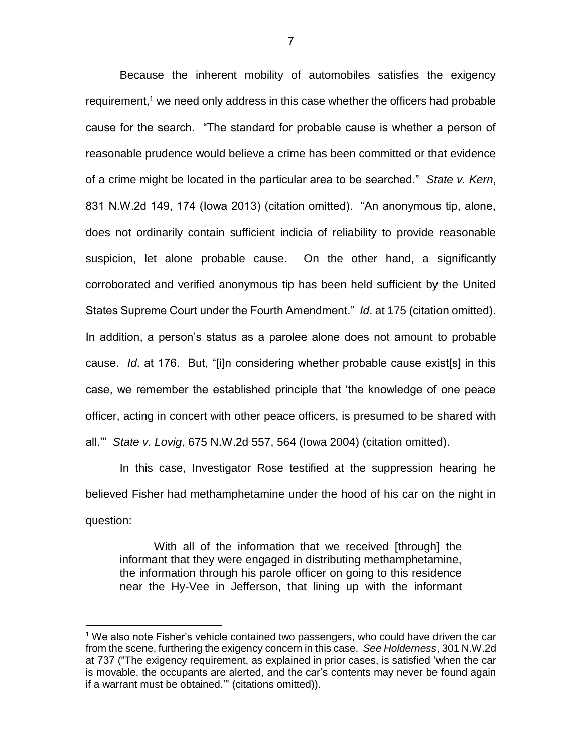Because the inherent mobility of automobiles satisfies the exigency requirement, $<sup>1</sup>$  we need only address in this case whether the officers had probable</sup> cause for the search. "The standard for probable cause is whether a person of reasonable prudence would believe a crime has been committed or that evidence of a crime might be located in the particular area to be searched." *State v. Kern*, 831 N.W.2d 149, 174 (Iowa 2013) (citation omitted). "An anonymous tip, alone, does not ordinarily contain sufficient indicia of reliability to provide reasonable suspicion, let alone probable cause. On the other hand, a significantly corroborated and verified anonymous tip has been held sufficient by the United States Supreme Court under the Fourth Amendment." *Id*. at 175 (citation omitted). In addition, a person's status as a parolee alone does not amount to probable cause. *Id*. at 176. But, "[i]n considering whether probable cause exist[s] in this case, we remember the established principle that 'the knowledge of one peace officer, acting in concert with other peace officers, is presumed to be shared with all.'" *State v. Lovig*, 675 N.W.2d 557, 564 (Iowa 2004) (citation omitted).

In this case, Investigator Rose testified at the suppression hearing he believed Fisher had methamphetamine under the hood of his car on the night in question:

With all of the information that we received [through] the informant that they were engaged in distributing methamphetamine, the information through his parole officer on going to this residence near the Hy-Vee in Jefferson, that lining up with the informant

 $\overline{a}$ 

 $1$  We also note Fisher's vehicle contained two passengers, who could have driven the car from the scene, furthering the exigency concern in this case. *See Holderness*, 301 N.W.2d at 737 ("The exigency requirement, as explained in prior cases, is satisfied 'when the car is movable, the occupants are alerted, and the car's contents may never be found again if a warrant must be obtained.'" (citations omitted)).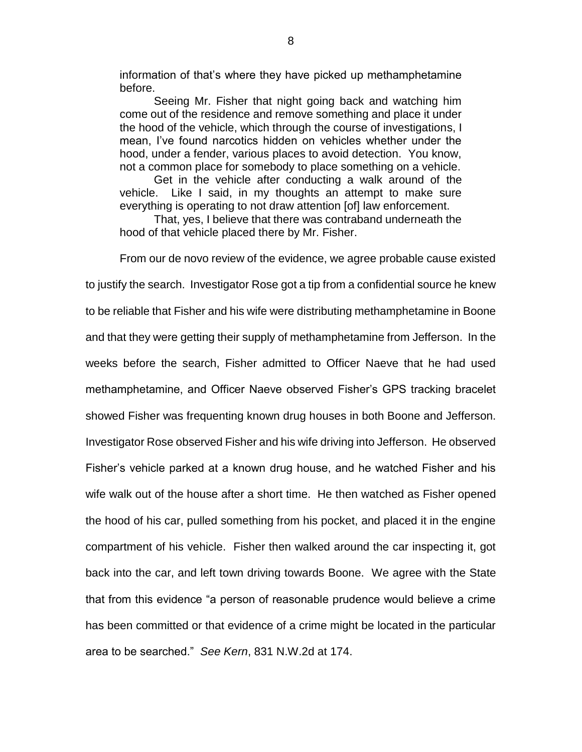information of that's where they have picked up methamphetamine before.

Seeing Mr. Fisher that night going back and watching him come out of the residence and remove something and place it under the hood of the vehicle, which through the course of investigations, I mean, I've found narcotics hidden on vehicles whether under the hood, under a fender, various places to avoid detection. You know, not a common place for somebody to place something on a vehicle.

Get in the vehicle after conducting a walk around of the vehicle. Like I said, in my thoughts an attempt to make sure everything is operating to not draw attention [of] law enforcement.

That, yes, I believe that there was contraband underneath the hood of that vehicle placed there by Mr. Fisher.

From our de novo review of the evidence, we agree probable cause existed to justify the search. Investigator Rose got a tip from a confidential source he knew to be reliable that Fisher and his wife were distributing methamphetamine in Boone and that they were getting their supply of methamphetamine from Jefferson. In the weeks before the search, Fisher admitted to Officer Naeve that he had used methamphetamine, and Officer Naeve observed Fisher's GPS tracking bracelet showed Fisher was frequenting known drug houses in both Boone and Jefferson. Investigator Rose observed Fisher and his wife driving into Jefferson. He observed Fisher's vehicle parked at a known drug house, and he watched Fisher and his wife walk out of the house after a short time. He then watched as Fisher opened the hood of his car, pulled something from his pocket, and placed it in the engine compartment of his vehicle. Fisher then walked around the car inspecting it, got back into the car, and left town driving towards Boone. We agree with the State that from this evidence "a person of reasonable prudence would believe a crime has been committed or that evidence of a crime might be located in the particular area to be searched." *See Kern*, 831 N.W.2d at 174.